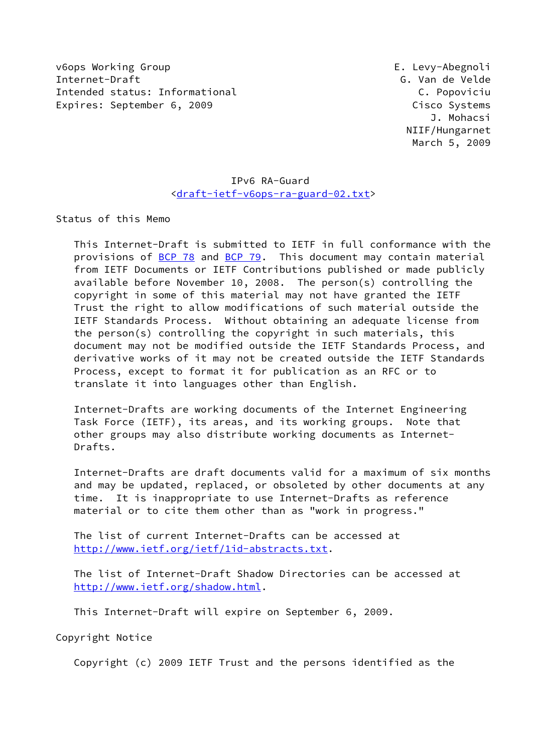v6ops Working Group E. Levy-Abegnoli Internet-Draft G. Van de Velde Intended status: Informational C. Popoviciu Expires: September 6, 2009 Cisco Systems

 J. Mohacsi NIIF/Hungarnet March 5, 2009

# IPv6 RA-Guard [<draft-ietf-v6ops-ra-guard-02.txt](https://datatracker.ietf.org/doc/pdf/draft-ietf-v6ops-ra-guard-02.txt)>

Status of this Memo

 This Internet-Draft is submitted to IETF in full conformance with the provisions of [BCP 78](https://datatracker.ietf.org/doc/pdf/bcp78) and [BCP 79](https://datatracker.ietf.org/doc/pdf/bcp79). This document may contain material from IETF Documents or IETF Contributions published or made publicly available before November 10, 2008. The person(s) controlling the copyright in some of this material may not have granted the IETF Trust the right to allow modifications of such material outside the IETF Standards Process. Without obtaining an adequate license from the person(s) controlling the copyright in such materials, this document may not be modified outside the IETF Standards Process, and derivative works of it may not be created outside the IETF Standards Process, except to format it for publication as an RFC or to translate it into languages other than English.

 Internet-Drafts are working documents of the Internet Engineering Task Force (IETF), its areas, and its working groups. Note that other groups may also distribute working documents as Internet- Drafts.

 Internet-Drafts are draft documents valid for a maximum of six months and may be updated, replaced, or obsoleted by other documents at any time. It is inappropriate to use Internet-Drafts as reference material or to cite them other than as "work in progress."

 The list of current Internet-Drafts can be accessed at <http://www.ietf.org/ietf/1id-abstracts.txt>.

 The list of Internet-Draft Shadow Directories can be accessed at <http://www.ietf.org/shadow.html>.

This Internet-Draft will expire on September 6, 2009.

Copyright Notice

Copyright (c) 2009 IETF Trust and the persons identified as the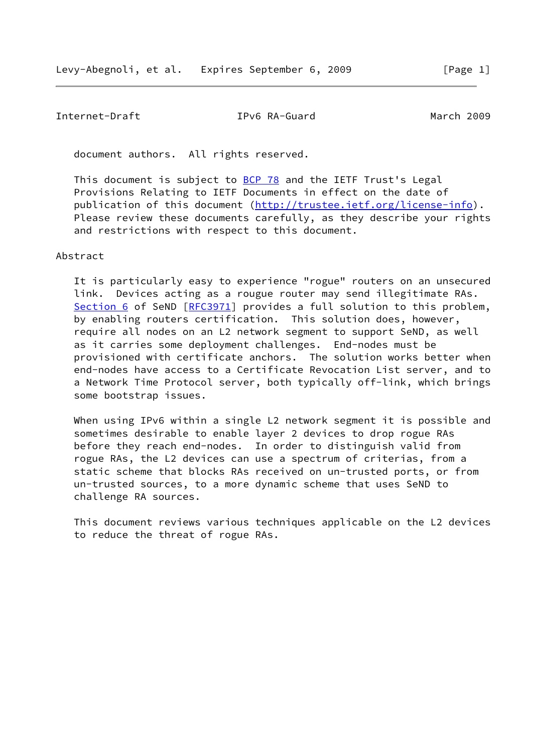# Internet-Draft IPv6 RA-Guard March 2009

document authors. All rights reserved.

This document is subject to **[BCP 78](https://datatracker.ietf.org/doc/pdf/bcp78)** and the IETF Trust's Legal Provisions Relating to IETF Documents in effect on the date of publication of this document [\(http://trustee.ietf.org/license-info](http://trustee.ietf.org/license-info)). Please review these documents carefully, as they describe your rights and restrictions with respect to this document.

#### Abstract

 It is particularly easy to experience "rogue" routers on an unsecured link. Devices acting as a rougue router may send illegitimate RAs. [Section 6](#page-8-0) of SeND [[RFC3971](https://datatracker.ietf.org/doc/pdf/rfc3971)] provides a full solution to this problem, by enabling routers certification. This solution does, however, require all nodes on an L2 network segment to support SeND, as well as it carries some deployment challenges. End-nodes must be provisioned with certificate anchors. The solution works better when end-nodes have access to a Certificate Revocation List server, and to a Network Time Protocol server, both typically off-link, which brings some bootstrap issues.

When using IPv6 within a single L2 network segment it is possible and sometimes desirable to enable layer 2 devices to drop rogue RAs before they reach end-nodes. In order to distinguish valid from rogue RAs, the L2 devices can use a spectrum of criterias, from a static scheme that blocks RAs received on un-trusted ports, or from un-trusted sources, to a more dynamic scheme that uses SeND to challenge RA sources.

 This document reviews various techniques applicable on the L2 devices to reduce the threat of rogue RAs.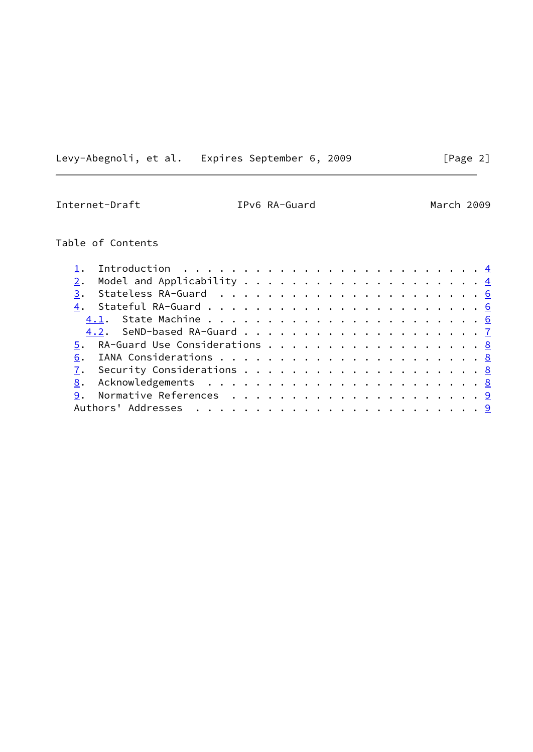Levy-Abegnoli, et al. Expires September 6, 2009 [Page 2]

Internet-Draft IPv6 RA-Guard March 2009

# Table of Contents

| 1. Introduction $\ldots \ldots \ldots \ldots \ldots \ldots \ldots \ldots \ldots$ |  |  |  |  |  |  |  |  |  |  |  |
|----------------------------------------------------------------------------------|--|--|--|--|--|--|--|--|--|--|--|
|                                                                                  |  |  |  |  |  |  |  |  |  |  |  |
|                                                                                  |  |  |  |  |  |  |  |  |  |  |  |
|                                                                                  |  |  |  |  |  |  |  |  |  |  |  |
|                                                                                  |  |  |  |  |  |  |  |  |  |  |  |
|                                                                                  |  |  |  |  |  |  |  |  |  |  |  |
| 5. RA-Guard Use Considerations 8                                                 |  |  |  |  |  |  |  |  |  |  |  |
|                                                                                  |  |  |  |  |  |  |  |  |  |  |  |
|                                                                                  |  |  |  |  |  |  |  |  |  |  |  |
|                                                                                  |  |  |  |  |  |  |  |  |  |  |  |
|                                                                                  |  |  |  |  |  |  |  |  |  |  |  |
|                                                                                  |  |  |  |  |  |  |  |  |  |  |  |
|                                                                                  |  |  |  |  |  |  |  |  |  |  |  |

L.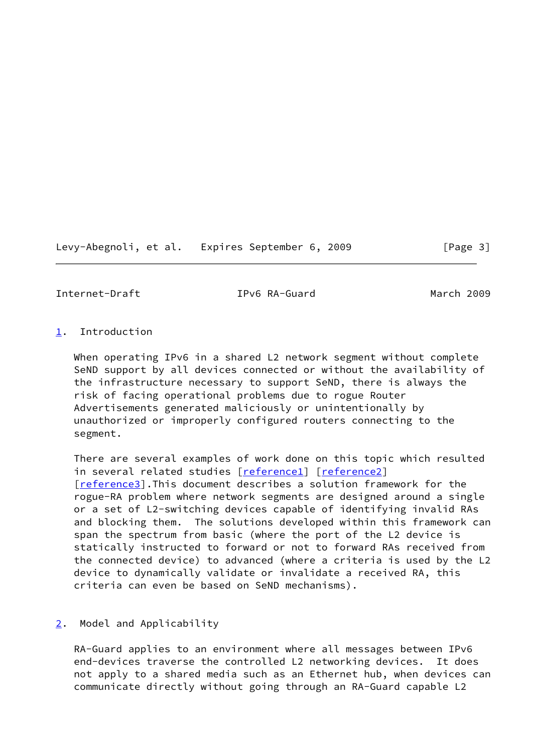Levy-Abegnoli, et al. Expires September 6, 2009 [Page 3]

<span id="page-3-1"></span>Internet-Draft IPv6 RA-Guard March 2009

### <span id="page-3-0"></span>[1](#page-3-0). Introduction

 When operating IPv6 in a shared L2 network segment without complete SeND support by all devices connected or without the availability of the infrastructure necessary to support SeND, there is always the risk of facing operational problems due to rogue Router Advertisements generated maliciously or unintentionally by unauthorized or improperly configured routers connecting to the segment.

 There are several examples of work done on this topic which resulted in several related studies [[reference1\]](#page-9-2) [\[reference2\]](#page-9-3) [\[reference3\]](#page-9-4).This document describes a solution framework for the rogue-RA problem where network segments are designed around a single or a set of L2-switching devices capable of identifying invalid RAs and blocking them. The solutions developed within this framework can span the spectrum from basic (where the port of the L2 device is statically instructed to forward or not to forward RAs received from the connected device) to advanced (where a criteria is used by the L2 device to dynamically validate or invalidate a received RA, this criteria can even be based on SeND mechanisms).

# <span id="page-3-2"></span>[2](#page-3-2). Model and Applicability

 RA-Guard applies to an environment where all messages between IPv6 end-devices traverse the controlled L2 networking devices. It does not apply to a shared media such as an Ethernet hub, when devices can communicate directly without going through an RA-Guard capable L2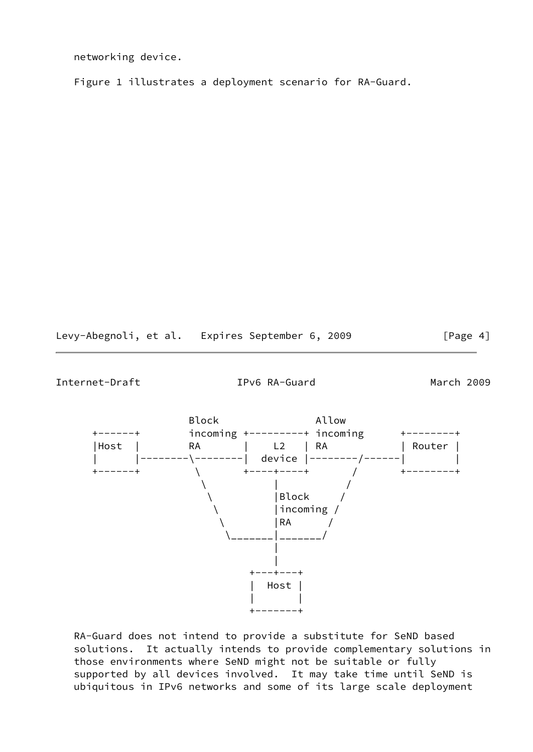networking device.

Figure 1 illustrates a deployment scenario for RA-Guard.

Levy-Abegnoli, et al. Expires September 6, 2009 [Page 4]

Internet-Draft IPv6 RA-Guard March 2009



 RA-Guard does not intend to provide a substitute for SeND based solutions. It actually intends to provide complementary solutions in those environments where SeND might not be suitable or fully supported by all devices involved. It may take time until SeND is ubiquitous in IPv6 networks and some of its large scale deployment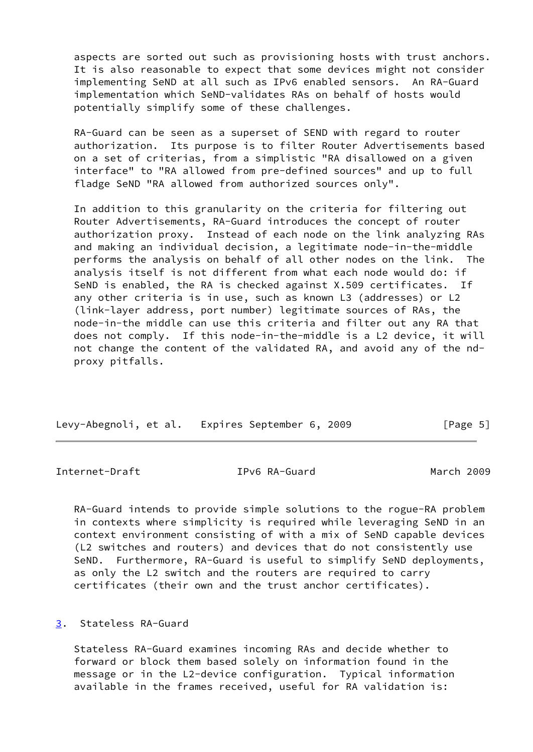aspects are sorted out such as provisioning hosts with trust anchors. It is also reasonable to expect that some devices might not consider implementing SeND at all such as IPv6 enabled sensors. An RA-Guard implementation which SeND-validates RAs on behalf of hosts would potentially simplify some of these challenges.

 RA-Guard can be seen as a superset of SEND with regard to router authorization. Its purpose is to filter Router Advertisements based on a set of criterias, from a simplistic "RA disallowed on a given interface" to "RA allowed from pre-defined sources" and up to full fladge SeND "RA allowed from authorized sources only".

 In addition to this granularity on the criteria for filtering out Router Advertisements, RA-Guard introduces the concept of router authorization proxy. Instead of each node on the link analyzing RAs and making an individual decision, a legitimate node-in-the-middle performs the analysis on behalf of all other nodes on the link. The analysis itself is not different from what each node would do: if SeND is enabled, the RA is checked against X.509 certificates. If any other criteria is in use, such as known L3 (addresses) or L2 (link-layer address, port number) legitimate sources of RAs, the node-in-the middle can use this criteria and filter out any RA that does not comply. If this node-in-the-middle is a L2 device, it will not change the content of the validated RA, and avoid any of the nd proxy pitfalls.

| Levy-Abegnoli, et al. Expires September 6, 2009 |  | [Page 5] |
|-------------------------------------------------|--|----------|
|                                                 |  |          |

<span id="page-5-1"></span>Internet-Draft IPv6 RA-Guard March 2009

 RA-Guard intends to provide simple solutions to the rogue-RA problem in contexts where simplicity is required while leveraging SeND in an context environment consisting of with a mix of SeND capable devices (L2 switches and routers) and devices that do not consistently use SeND. Furthermore, RA-Guard is useful to simplify SeND deployments, as only the L2 switch and the routers are required to carry certificates (their own and the trust anchor certificates).

<span id="page-5-0"></span>[3](#page-5-0). Stateless RA-Guard

 Stateless RA-Guard examines incoming RAs and decide whether to forward or block them based solely on information found in the message or in the L2-device configuration. Typical information available in the frames received, useful for RA validation is: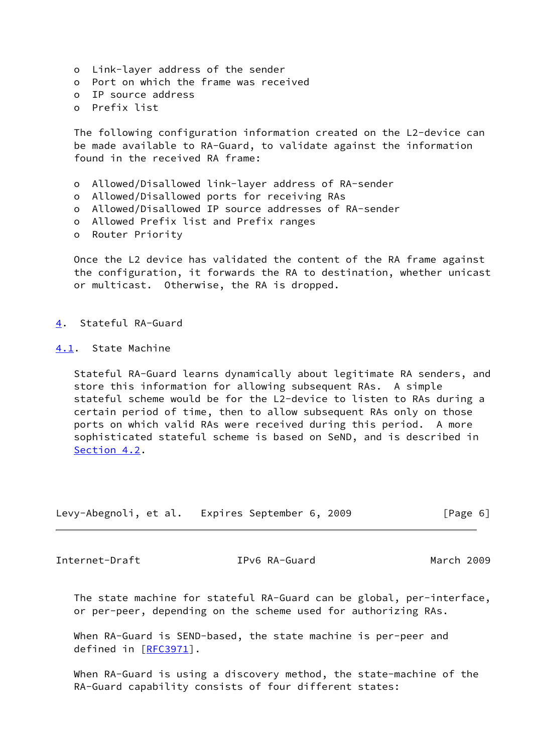- o Link-layer address of the sender
- o Port on which the frame was received
- o IP source address
- o Prefix list

 The following configuration information created on the L2-device can be made available to RA-Guard, to validate against the information found in the received RA frame:

- o Allowed/Disallowed link-layer address of RA-sender
- o Allowed/Disallowed ports for receiving RAs
- o Allowed/Disallowed IP source addresses of RA-sender
- o Allowed Prefix list and Prefix ranges
- o Router Priority

Once the L2 device has validated the content of the RA frame against the configuration, it forwards the RA to destination, whether unicast or multicast. Otherwise, the RA is dropped.

<span id="page-6-0"></span>[4](#page-6-0). Stateful RA-Guard

<span id="page-6-1"></span>[4.1](#page-6-1). State Machine

 Stateful RA-Guard learns dynamically about legitimate RA senders, and store this information for allowing subsequent RAs. A simple stateful scheme would be for the L2-device to listen to RAs during a certain period of time, then to allow subsequent RAs only on those ports on which valid RAs were received during this period. A more sophisticated stateful scheme is based on SeND, and is described in [Section 4.2](#page-7-0).

| Levy-Abegnoli, et al. | Expires September 6, 2009 | [Page 6] |
|-----------------------|---------------------------|----------|
|-----------------------|---------------------------|----------|

<span id="page-6-2"></span>Internet-Draft IPv6 RA-Guard March 2009

 The state machine for stateful RA-Guard can be global, per-interface, or per-peer, depending on the scheme used for authorizing RAs.

 When RA-Guard is SEND-based, the state machine is per-peer and defined in [[RFC3971\]](https://datatracker.ietf.org/doc/pdf/rfc3971).

 When RA-Guard is using a discovery method, the state-machine of the RA-Guard capability consists of four different states: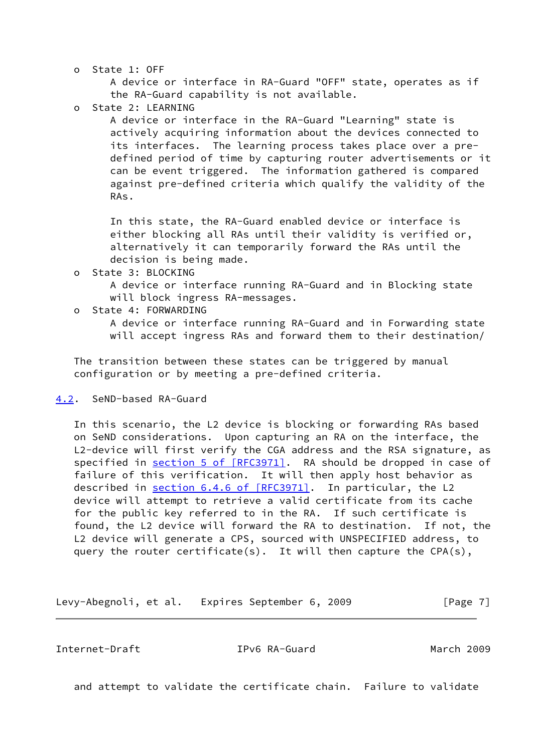o State 1: OFF

 A device or interface in RA-Guard "OFF" state, operates as if the RA-Guard capability is not available.

o State 2: LEARNING

 A device or interface in the RA-Guard "Learning" state is actively acquiring information about the devices connected to its interfaces. The learning process takes place over a pre defined period of time by capturing router advertisements or it can be event triggered. The information gathered is compared against pre-defined criteria which qualify the validity of the RAs.

 In this state, the RA-Guard enabled device or interface is either blocking all RAs until their validity is verified or, alternatively it can temporarily forward the RAs until the decision is being made.

o State 3: BLOCKING

 A device or interface running RA-Guard and in Blocking state will block ingress RA-messages.

o State 4: FORWARDING

 A device or interface running RA-Guard and in Forwarding state will accept ingress RAs and forward them to their destination/

 The transition between these states can be triggered by manual configuration or by meeting a pre-defined criteria.

#### <span id="page-7-0"></span>[4.2](#page-7-0). SeND-based RA-Guard

 In this scenario, the L2 device is blocking or forwarding RAs based on SeND considerations. Upon capturing an RA on the interface, the L2-device will first verify the CGA address and the RSA signature, as specified in section [5 of \[RFC3971\]](https://datatracker.ietf.org/doc/pdf/rfc3971#section-5). RA should be dropped in case of failure of this verification. It will then apply host behavior as described in section [6.4.6 of \[RFC3971\].](https://datatracker.ietf.org/doc/pdf/rfc3971#section-6.4.6) In particular, the L2 device will attempt to retrieve a valid certificate from its cache for the public key referred to in the RA. If such certificate is found, the L2 device will forward the RA to destination. If not, the L2 device will generate a CPS, sourced with UNSPECIFIED address, to query the router certificate(s). It will then capture the CPA(s),

Levy-Abegnoli, et al. Expires September 6, 2009 [Page 7]

<span id="page-7-1"></span>Internet-Draft IPv6 RA-Guard March 2009

and attempt to validate the certificate chain. Failure to validate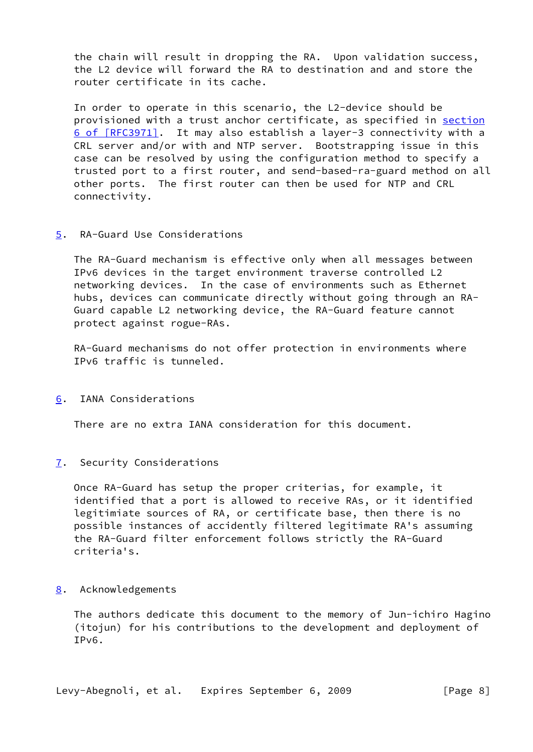the chain will result in dropping the RA. Upon validation success, the L2 device will forward the RA to destination and and store the router certificate in its cache.

 In order to operate in this scenario, the L2-device should be provisioned with a trust anchor certificate, as specified in [section](https://datatracker.ietf.org/doc/pdf/rfc3971#section-6) [6 of \[RFC3971\]](https://datatracker.ietf.org/doc/pdf/rfc3971#section-6). It may also establish a layer-3 connectivity with a CRL server and/or with and NTP server. Bootstrapping issue in this case can be resolved by using the configuration method to specify a trusted port to a first router, and send-based-ra-guard method on all other ports. The first router can then be used for NTP and CRL connectivity.

## <span id="page-8-1"></span>[5](#page-8-1). RA-Guard Use Considerations

 The RA-Guard mechanism is effective only when all messages between IPv6 devices in the target environment traverse controlled L2 networking devices. In the case of environments such as Ethernet hubs, devices can communicate directly without going through an RA- Guard capable L2 networking device, the RA-Guard feature cannot protect against rogue-RAs.

 RA-Guard mechanisms do not offer protection in environments where IPv6 traffic is tunneled.

<span id="page-8-0"></span>[6](#page-8-0). IANA Considerations

There are no extra IANA consideration for this document.

<span id="page-8-2"></span>[7](#page-8-2). Security Considerations

 Once RA-Guard has setup the proper criterias, for example, it identified that a port is allowed to receive RAs, or it identified legitimiate sources of RA, or certificate base, then there is no possible instances of accidently filtered legitimate RA's assuming the RA-Guard filter enforcement follows strictly the RA-Guard criteria's.

#### <span id="page-8-3"></span>[8](#page-8-3). Acknowledgements

 The authors dedicate this document to the memory of Jun-ichiro Hagino (itojun) for his contributions to the development and deployment of IPv6.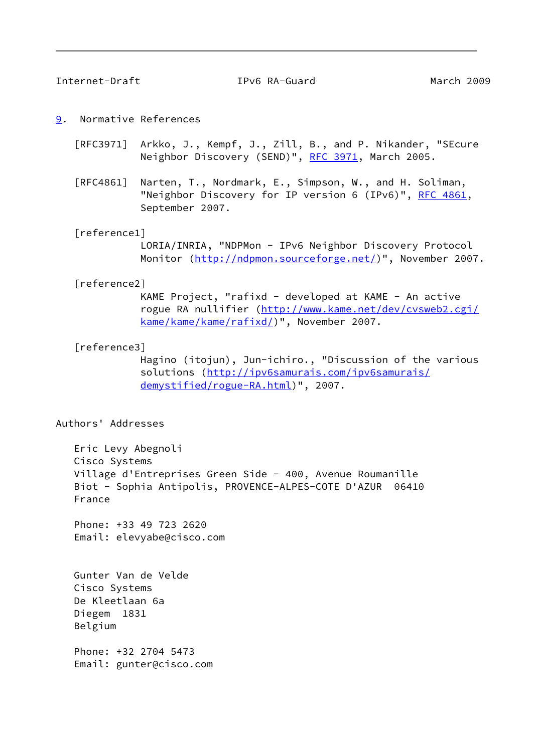<span id="page-9-1"></span>Internet-Draft IPv6 RA-Guard March 2009

- <span id="page-9-0"></span>[9](#page-9-0). Normative References
	- [RFC3971] Arkko, J., Kempf, J., Zill, B., and P. Nikander, "SEcure Neighbor Discovery (SEND)", [RFC 3971,](https://datatracker.ietf.org/doc/pdf/rfc3971) March 2005.
	- [RFC4861] Narten, T., Nordmark, E., Simpson, W., and H. Soliman, "Neighbor Discovery for IP version 6 (IPv6)", [RFC 4861](https://datatracker.ietf.org/doc/pdf/rfc4861), September 2007.

#### <span id="page-9-2"></span>[reference1]

 LORIA/INRIA, "NDPMon - IPv6 Neighbor Discovery Protocol Monitor (<http://ndpmon.sourceforge.net/>)", November 2007.

#### <span id="page-9-3"></span>[reference2]

 KAME Project, "rafixd - developed at KAME - An active rogue RA nullifier ([http://www.kame.net/dev/cvsweb2.cgi/](http://www.kame.net/dev/cvsweb2.cgi/kame/kame/kame/rafixd/) [kame/kame/kame/rafixd/](http://www.kame.net/dev/cvsweb2.cgi/kame/kame/kame/rafixd/))", November 2007.

#### <span id="page-9-4"></span>[reference3]

 Hagino (itojun), Jun-ichiro., "Discussion of the various solutions [\(http://ipv6samurais.com/ipv6samurais/](http://ipv6samurais.com/ipv6samurais/demystified/rogue-RA.html) [demystified/rogue-RA.html\)](http://ipv6samurais.com/ipv6samurais/demystified/rogue-RA.html)", 2007.

#### Authors' Addresses

 Eric Levy Abegnoli Cisco Systems Village d'Entreprises Green Side - 400, Avenue Roumanille Biot - Sophia Antipolis, PROVENCE-ALPES-COTE D'AZUR 06410 France

 Phone: +33 49 723 2620 Email: elevyabe@cisco.com

 Gunter Van de Velde Cisco Systems De Kleetlaan 6a Diegem 1831 Belgium

 Phone: +32 2704 5473 Email: gunter@cisco.com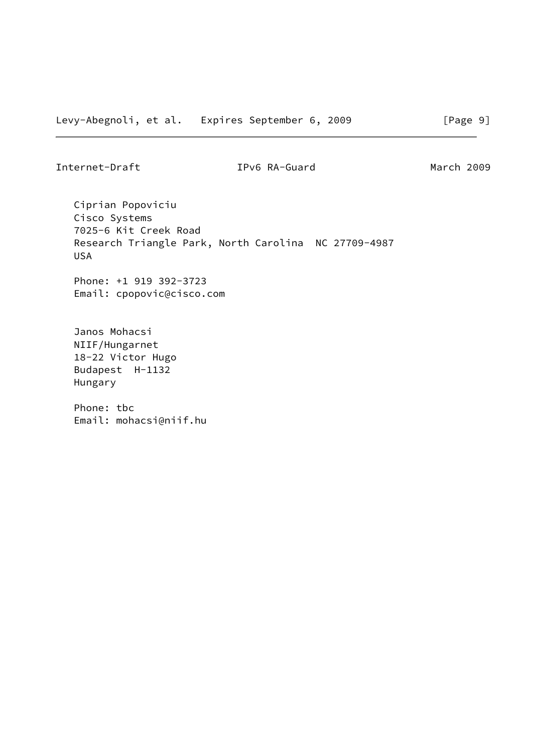Internet-Draft IPv6 RA-Guard March 2009

 Ciprian Popoviciu Cisco Systems 7025-6 Kit Creek Road Research Triangle Park, North Carolina NC 27709-4987 USA

 Phone: +1 919 392-3723 Email: cpopovic@cisco.com

 Janos Mohacsi NIIF/Hungarnet 18-22 Victor Hugo Budapest H-1132 Hungary

 Phone: tbc Email: mohacsi@niif.hu